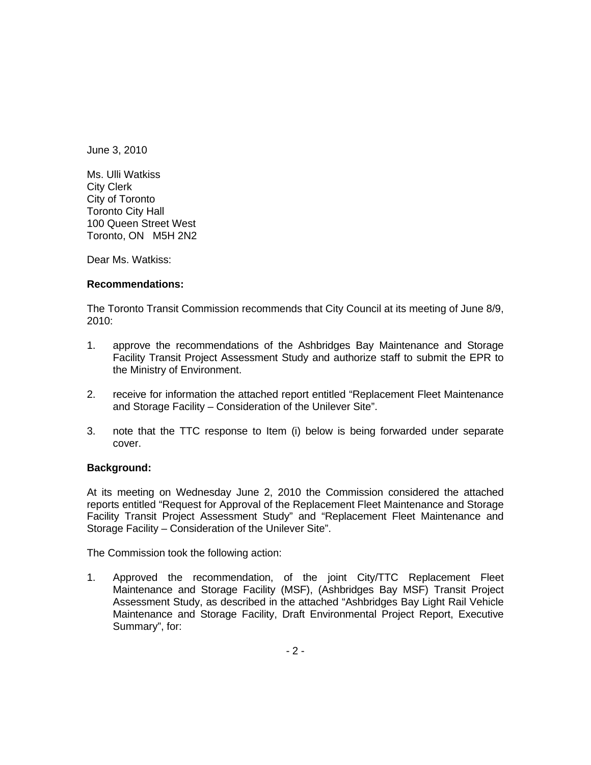June 3, 2010

Ms. Ulli Watkiss City Clerk City of Toronto Toronto City Hall 100 Queen Street West Toronto, ON M5H 2N2

Dear Ms. Watkiss:

## **Recommendations:**

The Toronto Transit Commission recommends that City Council at its meeting of June 8/9, 2010:

- 1. approve the recommendations of the Ashbridges Bay Maintenance and Storage Facility Transit Project Assessment Study and authorize staff to submit the EPR to the Ministry of Environment.
- 2. receive for information the attached report entitled "Replacement Fleet Maintenance and Storage Facility – Consideration of the Unilever Site".
- 3. note that the TTC response to Item (i) below is being forwarded under separate cover.

## **Background:**

At its meeting on Wednesday June 2, 2010 the Commission considered the attached reports entitled "Request for Approval of the Replacement Fleet Maintenance and Storage Facility Transit Project Assessment Study" and "Replacement Fleet Maintenance and Storage Facility – Consideration of the Unilever Site".

The Commission took the following action:

1. Approved the recommendation, of the joint City/TTC Replacement Fleet Maintenance and Storage Facility (MSF), (Ashbridges Bay MSF) Transit Project Assessment Study, as described in the attached "Ashbridges Bay Light Rail Vehicle Maintenance and Storage Facility, Draft Environmental Project Report, Executive Summary", for: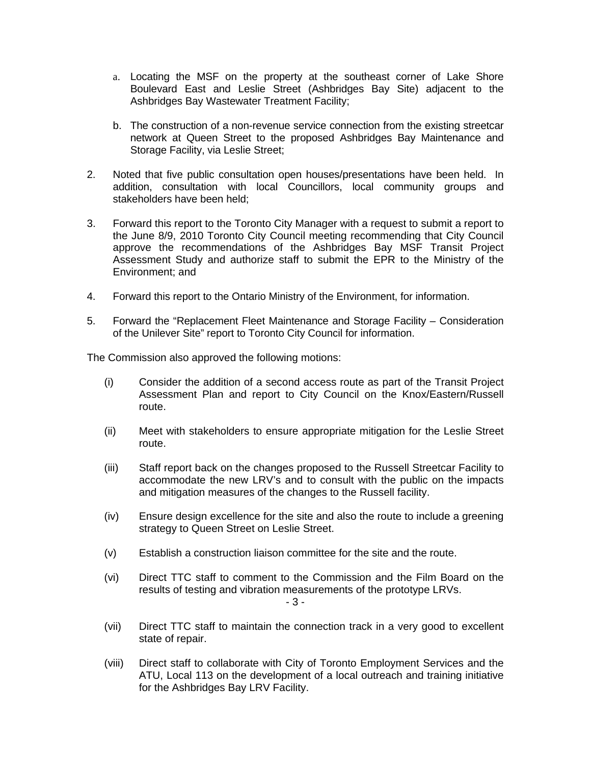- a. Locating the MSF on the property at the southeast corner of Lake Shore Boulevard East and Leslie Street (Ashbridges Bay Site) adjacent to the Ashbridges Bay Wastewater Treatment Facility;
- b. The construction of a non-revenue service connection from the existing streetcar network at Queen Street to the proposed Ashbridges Bay Maintenance and Storage Facility, via Leslie Street;
- 2. Noted that five public consultation open houses/presentations have been held. In addition, consultation with local Councillors, local community groups and stakeholders have been held;
- 3. Forward this report to the Toronto City Manager with a request to submit a report to the June 8/9, 2010 Toronto City Council meeting recommending that City Council approve the recommendations of the Ashbridges Bay MSF Transit Project Assessment Study and authorize staff to submit the EPR to the Ministry of the Environment; and
- 4. Forward this report to the Ontario Ministry of the Environment, for information.
- 5. Forward the "Replacement Fleet Maintenance and Storage Facility Consideration of the Unilever Site" report to Toronto City Council for information.

The Commission also approved the following motions:

- (i) Consider the addition of a second access route as part of the Transit Project Assessment Plan and report to City Council on the Knox/Eastern/Russell route.
- (ii) Meet with stakeholders to ensure appropriate mitigation for the Leslie Street route.
- (iii) Staff report back on the changes proposed to the Russell Streetcar Facility to accommodate the new LRV's and to consult with the public on the impacts and mitigation measures of the changes to the Russell facility.
- (iv) Ensure design excellence for the site and also the route to include a greening strategy to Queen Street on Leslie Street.
- (v) Establish a construction liaison committee for the site and the route.
- (vi) Direct TTC staff to comment to the Commission and the Film Board on the results of testing and vibration measurements of the prototype LRVs.

- 3 -

- (vii) Direct TTC staff to maintain the connection track in a very good to excellent state of repair. The state of repair.
- (viii) Direct staff to collaborate with City of Toronto Employment Services and the ATU, Local 113 on the development of a local outreach and training initiative for the Ashbridges Bay LRV Facility.